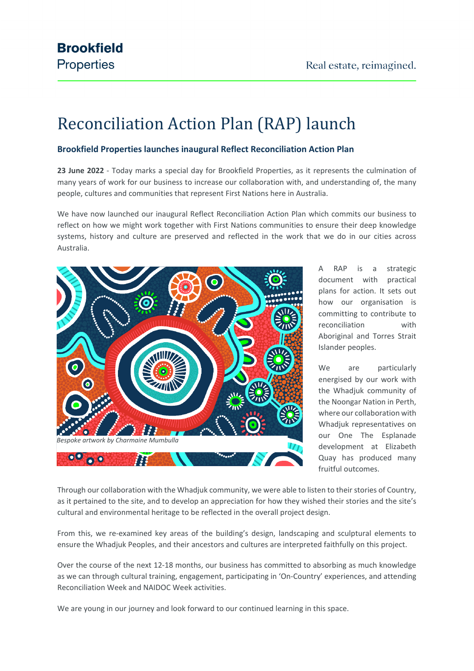# Reconciliation Action Plan (RAP) launch

### **Brookfield Properties launches inaugural Reflect Reconciliation Action Plan**

**23 June 2022** - Today marks a special day for Brookfield Properties, as it represents the culmination of many years of work for our business to increase our collaboration with, and understanding of, the many people, cultures and communities that represent First Nations here in Australia.

We have now launched our inaugural Reflect Reconciliation Action Plan which commits our business to reflect on how we might work together with First Nations communities to ensure their deep knowledge systems, history and culture are preserved and reflected in the work that we do in our cities across Australia.



A RAP is a strategic document with practical plans for action. It sets out how our organisation is committing to contribute to reconciliation with Aboriginal and Torres Strait Islander peoples.

We are particularly energised by our work with the Whadjuk community of the Noongar Nation in Perth, where our collaboration with Whadjuk representatives on our One The Esplanade development at Elizabeth Quay has produced many fruitful outcomes.

Through our collaboration with the Whadjuk community, we were able to listen to their stories of Country, as it pertained to the site, and to develop an appreciation for how they wished their stories and the site's cultural and environmental heritage to be reflected in the overall project design.

From this, we re-examined key areas of the building's design, landscaping and sculptural elements to ensure the Whadjuk Peoples, and their ancestors and cultures are interpreted faithfully on this project.

Over the course of the next 12-18 months, our business has committed to absorbing as much knowledge as we can through cultural training, engagement, participating in 'On-Country' experiences, and attending Reconciliation Week and NAIDOC Week activities.

We are young in our journey and look forward to our continued learning in this space.